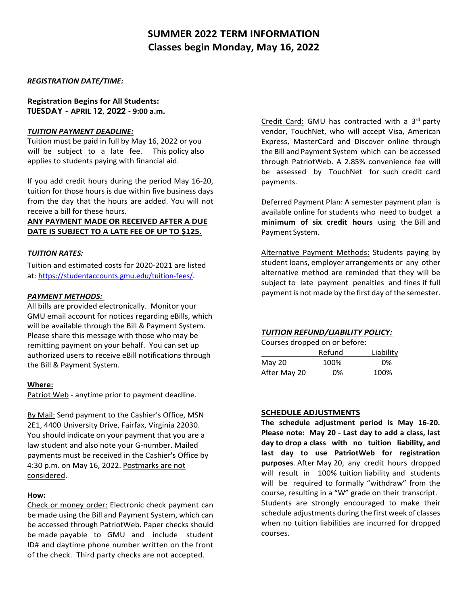# **SUMMER 2022 TERM INFORMATION Classes begin Monday, May 16, 2022**

# *REGISTRATION DATE/TIME:*

**Registration Begins for All Students: TUESDAY - APRIL 12, 2022 - 9:00 a.m.**

## *TUITION PAYMENT DEADLINE:*

Tuition must be paid in full by May 16, 2022 or you will be subject to a late fee. This policy also applies to students paying with financial aid.

If you add credit hours during the period May 16-20, tuition for those hours is due within five business days from the day that the hours are added. You will not receive a bill for these hours.

# **ANY PAYMENT MADE OR RECEIVED AFTER A DUE DATE IS SUBJECT TO A LATE FEE OF UP TO \$125**.

# *TUITION RATES:*

Tuition and estimated costs for 2020-2021 are listed at: [https://studentaccounts.gmu.edu/tuition-fees/.](https://studentaccounts.gmu.edu/tuition-fees/)

### *PAYMENT METHODS:*

All bills are provided electronically. Monitor your GMU email account for notices regarding eBills, which will be available through the Bill & Payment System. Please share this message with those who may be remitting payment on your behalf. You can set up authorized users to receive eBill notifications through the Bill & Payment System.

### **Where:**

Patriot Web - anytime prior to payment deadline.

By Mail: Send payment to the Cashier's Office, MSN 2E1, 4400 University Drive, Fairfax, Virginia 22030. You should indicate on your payment that you are a law student and also note your G-number. Mailed payments must be received in the Cashier's Office by 4:30 p.m. on May 16, 2022. Postmarks are not considered.

# **How:**

Check or money order: Electronic check payment can be made using the Bill and Payment System, which can be accessed through PatriotWeb. Paper checks should be made payable to GMU and include student ID# and daytime phone number written on the front of the check. Third party checks are not accepted.

Credit Card: GMU has contracted with a 3rd party vendor, TouchNet, who will accept Visa, American Express, MasterCard and Discover online through the Bill and Payment System which can be accessed through PatriotWeb. A 2.85% convenience fee will be assessed by TouchNet for such credit card payments.

Deferred Payment Plan: A semester payment plan is available online for students who need to budget a **minimum of six credit hours** using the Bill and Payment System.

Alternative Payment Methods: Students paying by student loans, employer arrangements or any other alternative method are reminded that they will be subject to late payment penalties and fines if full payment is not made by the first day of the semester.

### *TUITION REFUND/LIABILITY POLICY:*

Courses dropped on or before:

|               | Refund | Liability |
|---------------|--------|-----------|
| <b>May 20</b> | 100%   | 0%        |
| After May 20  | 0%     | 100%      |

### **SCHEDULE ADJUSTMENTS**

**The schedule adjustment period is May 16-20. Please note: May 20 - Last day to add a class, last day to drop a class with no tuition liability, and last day to use PatriotWeb for registration purposes**. After May 20, any credit hours dropped will result in 100% tuition liability and students will be required to formally "withdraw" from the course, resulting in a "W" grade on their transcript. Students are strongly encouraged to make their schedule adjustments during the first week of classes when no tuition liabilities are incurred for dropped courses.